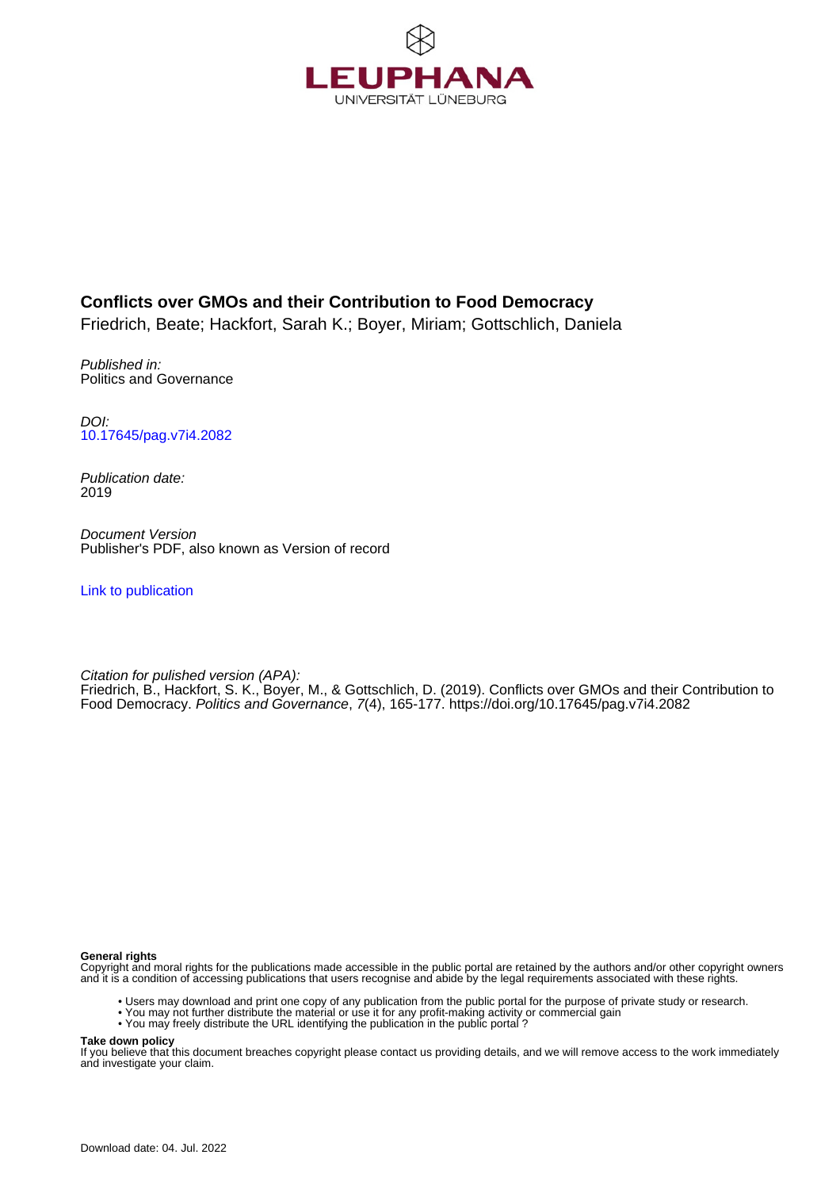

# **Conflicts over GMOs and their Contribution to Food Democracy**

Friedrich, Beate; Hackfort, Sarah K.; Boyer, Miriam; Gottschlich, Daniela

Published in: Politics and Governance

DOI: [10.17645/pag.v7i4.2082](https://doi.org/10.17645/pag.v7i4.2082)

Publication date: 2019

Document Version Publisher's PDF, also known as Version of record

[Link to publication](http://fox.leuphana.de/portal/en/publications/conflicts-over-gmos-and-their-contribution-to-food-democracy(e786c6ae-2e9c-4440-987d-09b57676e5d4).html)

Citation for pulished version (APA): [Friedrich, B.,](http://fox.leuphana.de/portal/de/persons/beate-friedrich(c17e2312-5d63-466f-83c1-aa35ba3320a1).html) Hackfort, S. K., Boyer, M., & Gottschlich, D. (2019). [Conflicts over GMOs and their Contribution to](http://fox.leuphana.de/portal/de/publications/conflicts-over-gmos-and-their-contribution-to-food-democracy(e786c6ae-2e9c-4440-987d-09b57676e5d4).html) [Food Democracy](http://fox.leuphana.de/portal/de/publications/conflicts-over-gmos-and-their-contribution-to-food-democracy(e786c6ae-2e9c-4440-987d-09b57676e5d4).html). [Politics and Governance](http://fox.leuphana.de/portal/de/journals/politics-and-governance(26392ca3-28c8-46f3-903a-363d97f0b967)/publications.html), 7(4), 165-177.<https://doi.org/10.17645/pag.v7i4.2082>

**General rights**

Copyright and moral rights for the publications made accessible in the public portal are retained by the authors and/or other copyright owners and it is a condition of accessing publications that users recognise and abide by the legal requirements associated with these rights.

- Users may download and print one copy of any publication from the public portal for the purpose of private study or research.
- You may not further distribute the material or use it for any profit-making activity or commercial gain
- You may freely distribute the URL identifying the publication in the public portal ?

**Take down policy**

If you believe that this document breaches copyright please contact us providing details, and we will remove access to the work immediately and investigate your claim.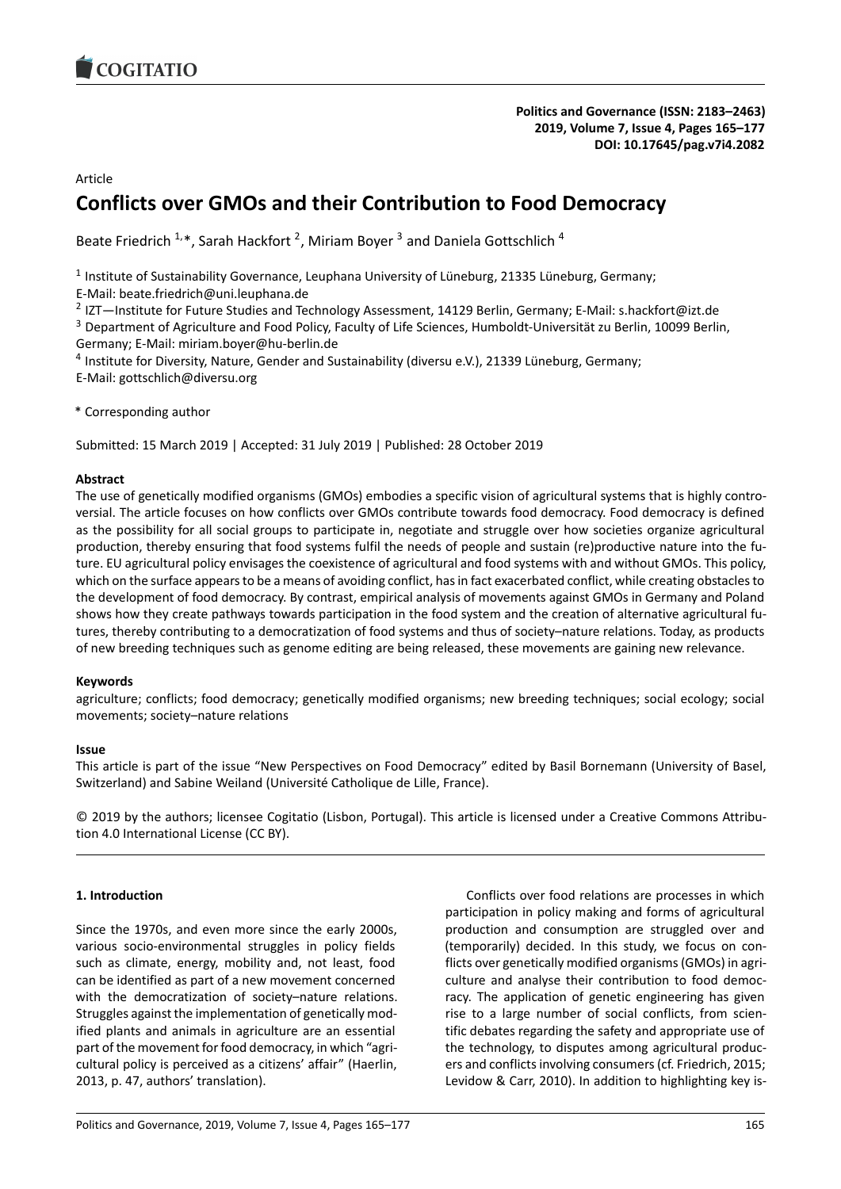

### Article

# **Conflicts over GMOs and their Contribution to Food Democracy**

Beate Friedrich  $1.*$ , Sarah Hackfort  $^2$ , Miriam Boyer  $^3$  and Daniela Gottschlich  $^4$ 

<sup>1</sup> Institute of Sustainability Governance, Leuphana University of Lüneburg, 21335 Lüneburg, Germany;

E-Mail: beate.friedrich@uni.leuphana.de

<sup>2</sup> IZT—Institute for Future Studies and Technology Assessment, 14129 Berlin, Germany; E-Mail: s.hackfort@izt.de

<sup>3</sup> Department of Agriculture and Food Policy, Faculty of Life Sciences, Humboldt-Universität zu Berlin, 10099 Berlin, Germany; E-Mail: miriam.boyer@hu-berlin.de

<sup>4</sup> Institute for Diversity, Nature, Gender and Sustainability (diversu e.V.), 21339 Lüneburg, Germany; E-Mail: gottschlich@diversu.org

\* Corresponding author

Submitted: 15 March 2019 | Accepted: 31 July 2019 | Published: 28 October 2019

### **Abstract**

The use of genetically modified organisms (GMOs) embodies a specific vision of agricultural systems that is highly controversial. The article focuses on how conflicts over GMOs contribute towards food democracy. Food democracy is defined as the possibility for all social groups to participate in, negotiate and struggle over how societies organize agricultural production, thereby ensuring that food systems fulfil the needs of people and sustain (re)productive nature into the future. EU agricultural policy envisages the coexistence of agricultural and food systems with and without GMOs. This policy, which on the surface appears to be a means of avoiding conflict, has in fact exacerbated conflict, while creating obstacles to the development of food democracy. By contrast, empirical analysis of movements against GMOs in Germany and Poland shows how they create pathways towards participation in the food system and the creation of alternative agricultural futures, thereby contributing to a democratization of food systems and thus of society–nature relations. Today, as products of new breeding techniques such as genome editing are being released, these movements are gaining new relevance.

### **Keywords**

agriculture; conflicts; food democracy; genetically modified organisms; new breeding techniques; social ecology; social movements; society–nature relations

### **Issue**

This article is part of the issue "New Perspectives on Food Democracy" edited by Basil Bornemann (University of Basel, Switzerland) and Sabine Weiland (Université Catholique de Lille, France).

© 2019 by the authors; licensee Cogitatio (Lisbon, Portugal). This article is licensed under a Creative Commons Attribution 4.0 International License (CC BY).

## **1. Introduction**

Since the 1970s, and even more since the early 2000s, various socio-environmental struggles in policy fields such as climate, energy, mobility and, not least, food can be identified as part of a new movement concerned with the democratization of society–nature relations. Struggles against the implementation of genetically modified plants and animals in agriculture are an essential part of the movement for food democracy, in which "agricultural policy is perceived as a citizens' affair" (Haerlin, 2013, p. 47, authors' translation).

Conflicts over food relations are processes in which participation in policy making and forms of agricultural production and consumption are struggled over and (temporarily) decided. In this study, we focus on conflicts over genetically modified organisms (GMOs) in agriculture and analyse their contribution to food democracy. The application of genetic engineering has given rise to a large number of social conflicts, from scientific debates regarding the safety and appropriate use of the technology, to disputes among agricultural producers and conflicts involving consumers (cf. Friedrich, 2015; Levidow & Carr, 2010). In addition to highlighting key is-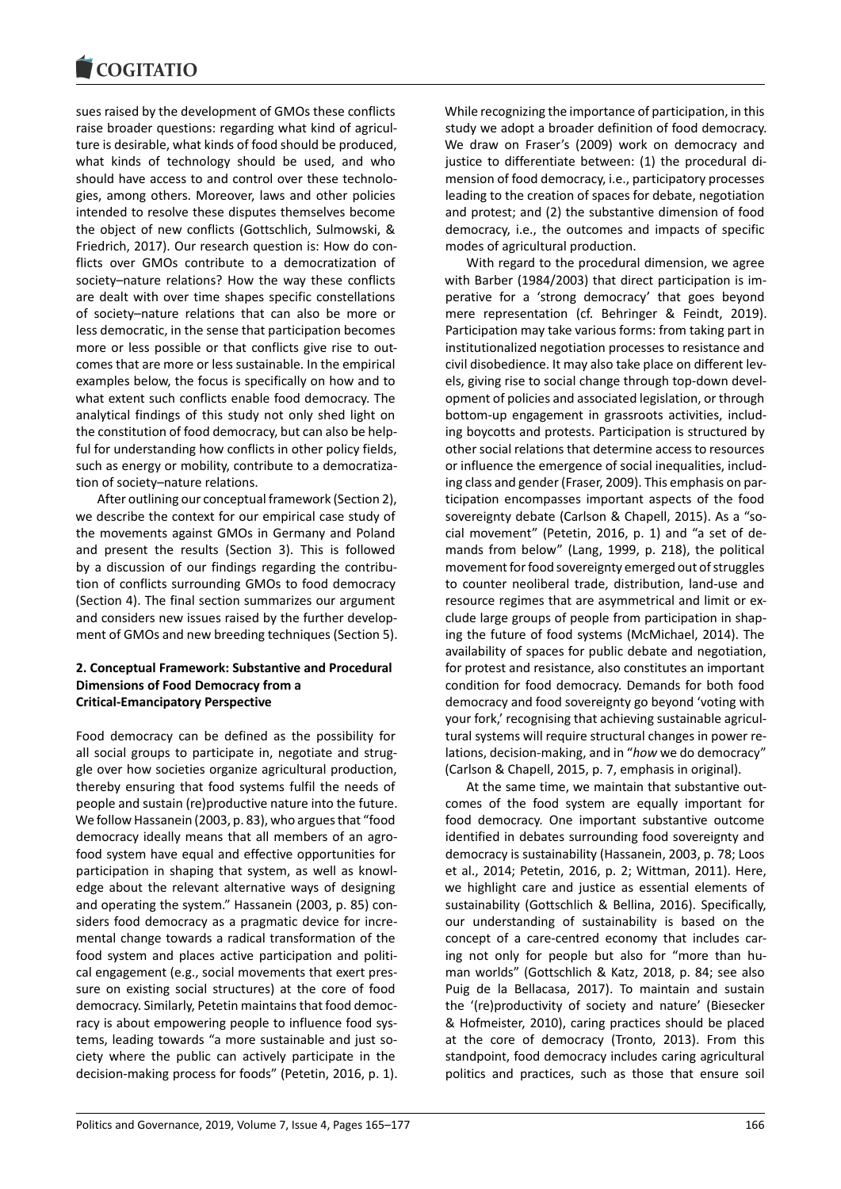sues raised by the development of GMOs these conflicts raise broader questions: regarding what kind of agriculture is desirable, what kinds of food should be produced, what kinds of technology should be used, and who should have access to and control over these technologies, among others. Moreover, laws and other policies intended to resolve these disputes themselves become the object of new conflicts (Gottschlich, Sulmowski, & Friedrich, 2017). Our research question is: How do conflicts over GMOs contribute to a democratization of society–nature relations? How the way these conflicts are dealt with over time shapes specific constellations of society–nature relations that can also be more or less democratic, in the sense that participation becomes more or less possible or that conflicts give rise to outcomes that are more or less sustainable. In the empirical examples below, the focus is specifically on how and to what extent such conflicts enable food democracy. The analytical findings of this study not only shed light on the constitution of food democracy, but can also be helpful for understanding how conflicts in other policy fields, such as energy or mobility, contribute to a democratization of society–nature relations.

After outlining our conceptual framework (Section 2), we describe the context for our empirical case study of the movements against GMOs in Germany and Poland and present the results (Section 3). This is followed by a discussion of our findings regarding the contribution of conflicts surrounding GMOs to food democracy (Section 4). The final section summarizes our argument and considers new issues raised by the further development of GMOs and new breeding techniques (Section 5).

### **2. Conceptual Framework: Substantive and Procedural Dimensions of Food Democracy from a Critical-Emancipatory Perspective**

Food democracy can be defined as the possibility for all social groups to participate in, negotiate and struggle over how societies organize agricultural production, thereby ensuring that food systems fulfil the needs of people and sustain (re)productive nature into the future. We follow Hassanein (2003, p. 83), who argues that "food democracy ideally means that all members of an agrofood system have equal and effective opportunities for participation in shaping that system, as well as knowledge about the relevant alternative ways of designing and operating the system." Hassanein (2003, p. 85) considers food democracy as a pragmatic device for incremental change towards a radical transformation of the food system and places active participation and political engagement (e.g., social movements that exert pressure on existing social structures) at the core of food democracy. Similarly, Petetin maintains that food democracy is about empowering people to influence food systems, leading towards "a more sustainable and just society where the public can actively participate in the decision-making process for foods" (Petetin, 2016, p. 1). While recognizing the importance of participation, in this study we adopt a broader definition of food democracy. We draw on Fraser's (2009) work on democracy and justice to differentiate between: (1) the procedural dimension of food democracy, i.e., participatory processes leading to the creation of spaces for debate, negotiation and protest; and (2) the substantive dimension of food democracy, i.e., the outcomes and impacts of specific modes of agricultural production.

With regard to the procedural dimension, we agree with Barber (1984/2003) that direct participation is imperative for a 'strong democracy' that goes beyond mere representation (cf. Behringer & Feindt, 2019). Participation may take various forms: from taking part in institutionalized negotiation processes to resistance and civil disobedience. It may also take place on different levels, giving rise to social change through top-down development of policies and associated legislation, or through bottom-up engagement in grassroots activities, including boycotts and protests. Participation is structured by other social relations that determine access to resources or influence the emergence of social inequalities, including class and gender (Fraser, 2009). This emphasis on participation encompasses important aspects of the food sovereignty debate (Carlson & Chapell, 2015). As a "social movement" (Petetin, 2016, p. 1) and "a set of demands from below" (Lang, 1999, p. 218), the political movement for food sovereignty emerged out of struggles to counter neoliberal trade, distribution, land-use and resource regimes that are asymmetrical and limit or exclude large groups of people from participation in shaping the future of food systems (McMichael, 2014). The availability of spaces for public debate and negotiation, for protest and resistance, also constitutes an important condition for food democracy. Demands for both food democracy and food sovereignty go beyond 'voting with your fork,' recognising that achieving sustainable agricultural systems will require structural changes in power relations, decision-making, and in "*how* we do democracy" (Carlson & Chapell, 2015, p. 7, emphasis in original).

At the same time, we maintain that substantive outcomes of the food system are equally important for food democracy. One important substantive outcome identified in debates surrounding food sovereignty and democracy is sustainability (Hassanein, 2003, p. 78; Loos et al., 2014; Petetin, 2016, p. 2; Wittman, 2011). Here, we highlight care and justice as essential elements of sustainability (Gottschlich & Bellina, 2016). Specifically, our understanding of sustainability is based on the concept of a care-centred economy that includes caring not only for people but also for "more than human worlds" (Gottschlich & Katz, 2018, p. 84; see also Puig de la Bellacasa, 2017). To maintain and sustain the '(re)productivity of society and nature' (Biesecker & Hofmeister, 2010), caring practices should be placed at the core of democracy (Tronto, 2013). From this standpoint, food democracy includes caring agricultural politics and practices, such as those that ensure soil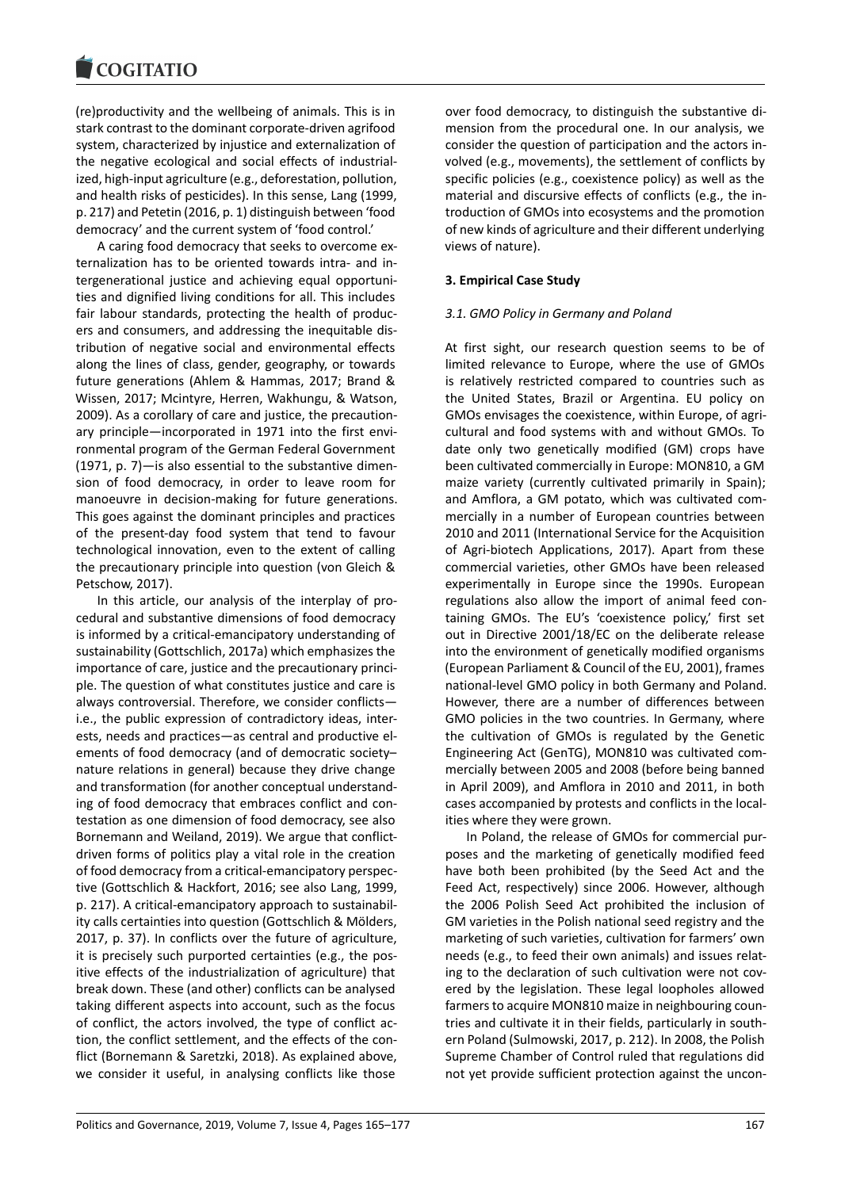(re)productivity and the wellbeing of animals. This is in stark contrast to the dominant corporate-driven agrifood system, characterized by injustice and externalization of the negative ecological and social effects of industrialized, high-input agriculture (e.g., deforestation, pollution, and health risks of pesticides). In this sense, Lang (1999, p. 217) and Petetin (2016, p. 1) distinguish between 'food democracy' and the current system of 'food control.'

A caring food democracy that seeks to overcome externalization has to be oriented towards intra- and intergenerational justice and achieving equal opportunities and dignified living conditions for all. This includes fair labour standards, protecting the health of producers and consumers, and addressing the inequitable distribution of negative social and environmental effects along the lines of class, gender, geography, or towards future generations (Ahlem & Hammas, 2017; Brand & Wissen, 2017; Mcintyre, Herren, Wakhungu, & Watson, 2009). As a corollary of care and justice, the precautionary principle—incorporated in 1971 into the first environmental program of the German Federal Government (1971, p. 7)—is also essential to the substantive dimension of food democracy, in order to leave room for manoeuvre in decision-making for future generations. This goes against the dominant principles and practices of the present-day food system that tend to favour technological innovation, even to the extent of calling the precautionary principle into question (von Gleich & Petschow, 2017).

In this article, our analysis of the interplay of procedural and substantive dimensions of food democracy is informed by a critical-emancipatory understanding of sustainability (Gottschlich, 2017a) which emphasizes the importance of care, justice and the precautionary principle. The question of what constitutes justice and care is always controversial. Therefore, we consider conflicts i.e., the public expression of contradictory ideas, interests, needs and practices—as central and productive elements of food democracy (and of democratic society– nature relations in general) because they drive change and transformation (for another conceptual understanding of food democracy that embraces conflict and contestation as one dimension of food democracy, see also Bornemann and Weiland, 2019). We argue that conflictdriven forms of politics play a vital role in the creation of food democracy from a critical-emancipatory perspective (Gottschlich & Hackfort, 2016; see also Lang, 1999, p. 217). A critical-emancipatory approach to sustainability calls certainties into question (Gottschlich & Mölders, 2017, p. 37). In conflicts over the future of agriculture, it is precisely such purported certainties (e.g., the positive effects of the industrialization of agriculture) that break down. These (and other) conflicts can be analysed taking different aspects into account, such as the focus of conflict, the actors involved, the type of conflict action, the conflict settlement, and the effects of the conflict (Bornemann & Saretzki, 2018). As explained above, we consider it useful, in analysing conflicts like those

over food democracy, to distinguish the substantive dimension from the procedural one. In our analysis, we consider the question of participation and the actors involved (e.g., movements), the settlement of conflicts by specific policies (e.g., coexistence policy) as well as the material and discursive effects of conflicts (e.g., the introduction of GMOs into ecosystems and the promotion of new kinds of agriculture and their different underlying views of nature).

### **3. Empirical Case Study**

#### *3.1. GMO Policy in Germany and Poland*

At first sight, our research question seems to be of limited relevance to Europe, where the use of GMOs is relatively restricted compared to countries such as the United States, Brazil or Argentina. EU policy on GMOs envisages the coexistence, within Europe, of agricultural and food systems with and without GMOs. To date only two genetically modified (GM) crops have been cultivated commercially in Europe: MON810, a GM maize variety (currently cultivated primarily in Spain); and Amflora, a GM potato, which was cultivated commercially in a number of European countries between 2010 and 2011 (International Service for the Acquisition of Agri-biotech Applications, 2017). Apart from these commercial varieties, other GMOs have been released experimentally in Europe since the 1990s. European regulations also allow the import of animal feed containing GMOs. The EU's 'coexistence policy,' first set out in Directive 2001/18/EC on the deliberate release into the environment of genetically modified organisms (European Parliament & Council of the EU, 2001), frames national-level GMO policy in both Germany and Poland. However, there are a number of differences between GMO policies in the two countries. In Germany, where the cultivation of GMOs is regulated by the Genetic Engineering Act (GenTG), MON810 was cultivated commercially between 2005 and 2008 (before being banned in April 2009), and Amflora in 2010 and 2011, in both cases accompanied by protests and conflicts in the localities where they were grown.

In Poland, the release of GMOs for commercial purposes and the marketing of genetically modified feed have both been prohibited (by the Seed Act and the Feed Act, respectively) since 2006. However, although the 2006 Polish Seed Act prohibited the inclusion of GM varieties in the Polish national seed registry and the marketing of such varieties, cultivation for farmers' own needs (e.g., to feed their own animals) and issues relating to the declaration of such cultivation were not covered by the legislation. These legal loopholes allowed farmers to acquire MON810 maize in neighbouring countries and cultivate it in their fields, particularly in southern Poland (Sulmowski, 2017, p. 212). In 2008, the Polish Supreme Chamber of Control ruled that regulations did not yet provide sufficient protection against the uncon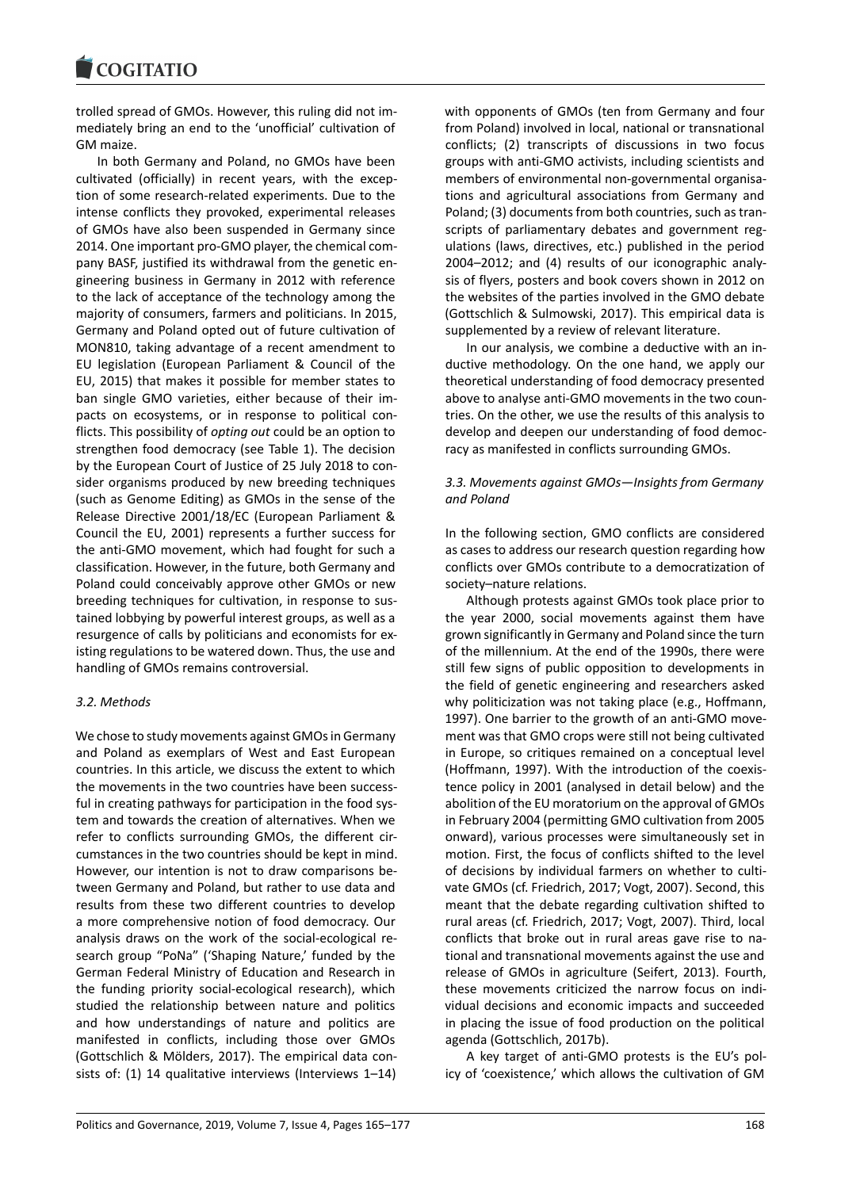trolled spread of GMOs. However, this ruling did not immediately bring an end to the 'unofficial' cultivation of GM maize.

In both Germany and Poland, no GMOs have been cultivated (officially) in recent years, with the exception of some research-related experiments. Due to the intense conflicts they provoked, experimental releases of GMOs have also been suspended in Germany since 2014. One important pro-GMO player, the chemical company BASF, justified its withdrawal from the genetic engineering business in Germany in 2012 with reference to the lack of acceptance of the technology among the majority of consumers, farmers and politicians. In 2015, Germany and Poland opted out of future cultivation of MON810, taking advantage of a recent amendment to EU legislation (European Parliament & Council of the EU, 2015) that makes it possible for member states to ban single GMO varieties, either because of their impacts on ecosystems, or in response to political conflicts. This possibility of *opting out* could be an option to strengthen food democracy (see Table 1). The decision by the European Court of Justice of 25 July 2018 to consider organisms produced by new breeding techniques (such as Genome Editing) as GMOs in the sense of the Release Directive 2001/18/EC (European Parliament & Council the EU, 2001) represents a further success for the anti-GMO movement, which had fought for such a classification. However, in the future, both Germany and Poland could conceivably approve other GMOs or new breeding techniques for cultivation, in response to sustained lobbying by powerful interest groups, as well as a resurgence of calls by politicians and economists for existing regulations to be watered down. Thus, the use and handling of GMOs remains controversial.

### *3.2. Methods*

We chose to study movements against GMOs in Germany and Poland as exemplars of West and East European countries. In this article, we discuss the extent to which the movements in the two countries have been successful in creating pathways for participation in the food system and towards the creation of alternatives. When we refer to conflicts surrounding GMOs, the different circumstances in the two countries should be kept in mind. However, our intention is not to draw comparisons between Germany and Poland, but rather to use data and results from these two different countries to develop a more comprehensive notion of food democracy. Our analysis draws on the work of the social-ecological research group "PoNa" ('Shaping Nature,' funded by the German Federal Ministry of Education and Research in the funding priority social-ecological research), which studied the relationship between nature and politics and how understandings of nature and politics are manifested in conflicts, including those over GMOs (Gottschlich & Mölders, 2017). The empirical data consists of: (1) 14 qualitative interviews (Interviews 1–14) with opponents of GMOs (ten from Germany and four from Poland) involved in local, national or transnational conflicts; (2) transcripts of discussions in two focus groups with anti-GMO activists, including scientists and members of environmental non-governmental organisations and agricultural associations from Germany and Poland; (3) documents from both countries, such as transcripts of parliamentary debates and government regulations (laws, directives, etc.) published in the period 2004–2012; and (4) results of our iconographic analysis of flyers, posters and book covers shown in 2012 on the websites of the parties involved in the GMO debate (Gottschlich & Sulmowski, 2017). This empirical data is supplemented by a review of relevant literature.

In our analysis, we combine a deductive with an inductive methodology. On the one hand, we apply our theoretical understanding of food democracy presented above to analyse anti-GMO movements in the two countries. On the other, we use the results of this analysis to develop and deepen our understanding of food democracy as manifested in conflicts surrounding GMOs.

### *3.3. Movements against GMOs—Insights from Germany and Poland*

In the following section, GMO conflicts are considered as cases to address our research question regarding how conflicts over GMOs contribute to a democratization of society–nature relations.

Although protests against GMOs took place prior to the year 2000, social movements against them have grown significantly in Germany and Poland since the turn of the millennium. At the end of the 1990s, there were still few signs of public opposition to developments in the field of genetic engineering and researchers asked why politicization was not taking place (e.g., Hoffmann, 1997). One barrier to the growth of an anti-GMO movement was that GMO crops were still not being cultivated in Europe, so critiques remained on a conceptual level (Hoffmann, 1997). With the introduction of the coexistence policy in 2001 (analysed in detail below) and the abolition of the EU moratorium on the approval of GMOs in February 2004 (permitting GMO cultivation from 2005 onward), various processes were simultaneously set in motion. First, the focus of conflicts shifted to the level of decisions by individual farmers on whether to cultivate GMOs (cf. Friedrich, 2017; Vogt, 2007). Second, this meant that the debate regarding cultivation shifted to rural areas (cf. Friedrich, 2017; Vogt, 2007). Third, local conflicts that broke out in rural areas gave rise to national and transnational movements against the use and release of GMOs in agriculture (Seifert, 2013). Fourth, these movements criticized the narrow focus on individual decisions and economic impacts and succeeded in placing the issue of food production on the political agenda (Gottschlich, 2017b).

A key target of anti-GMO protests is the EU's policy of 'coexistence,' which allows the cultivation of GM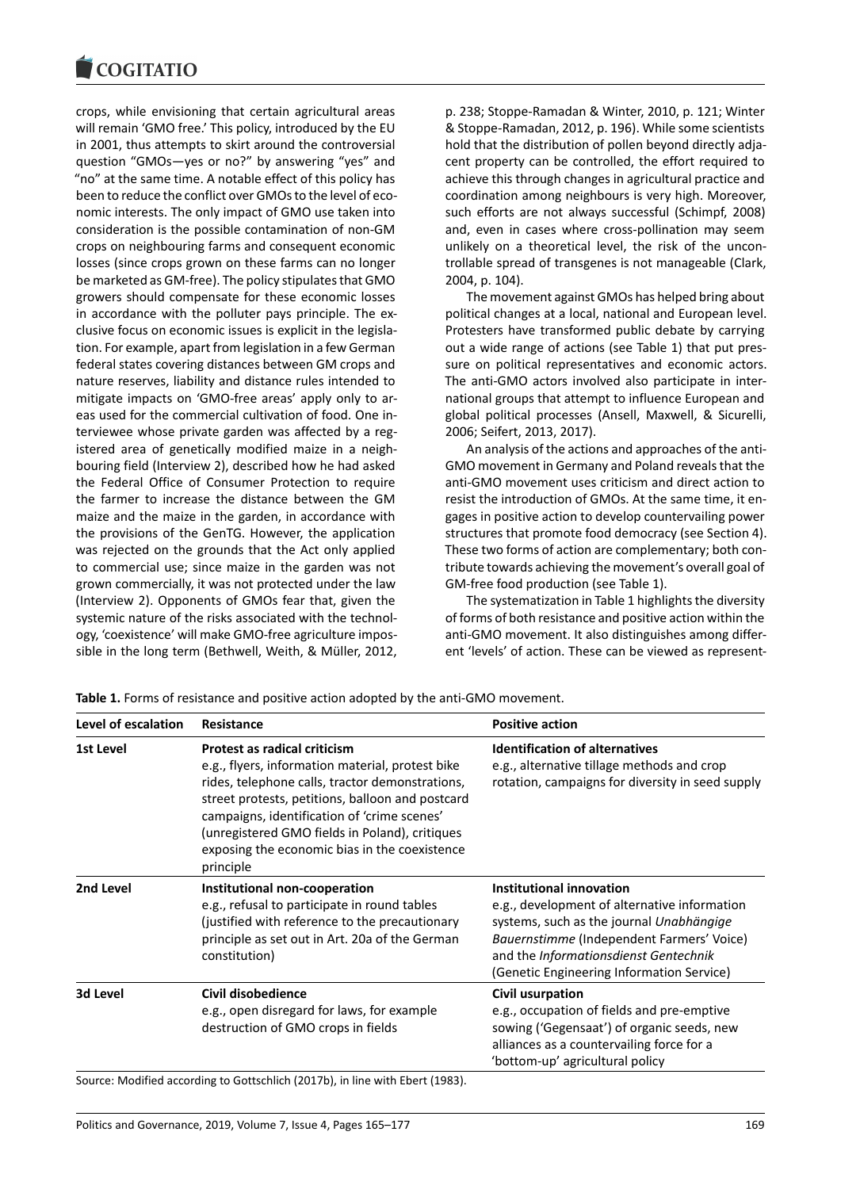crops, while envisioning that certain agricultural areas will remain 'GMO free.' This policy, introduced by the EU in 2001, thus attempts to skirt around the controversial question "GMOs—yes or no?" by answering "yes" and "no" at the same time. A notable effect of this policy has been to reduce the conflict over GMOs to the level of economic interests. The only impact of GMO use taken into consideration is the possible contamination of non-GM crops on neighbouring farms and consequent economic losses (since crops grown on these farms can no longer be marketed as GM-free). The policy stipulates that GMO growers should compensate for these economic losses in accordance with the polluter pays principle. The exclusive focus on economic issues is explicit in the legislation. For example, apart from legislation in a few German federal states covering distances between GM crops and nature reserves, liability and distance rules intended to mitigate impacts on 'GMO-free areas' apply only to areas used for the commercial cultivation of food. One interviewee whose private garden was affected by a registered area of genetically modified maize in a neighbouring field (Interview 2), described how he had asked the Federal Office of Consumer Protection to require the farmer to increase the distance between the GM maize and the maize in the garden, in accordance with the provisions of the GenTG. However, the application was rejected on the grounds that the Act only applied to commercial use; since maize in the garden was not grown commercially, it was not protected under the law (Interview 2). Opponents of GMOs fear that, given the systemic nature of the risks associated with the technology, 'coexistence' will make GMO-free agriculture impossible in the long term (Bethwell, Weith, & Müller, 2012, p. 238; Stoppe-Ramadan & Winter, 2010, p. 121; Winter & Stoppe-Ramadan, 2012, p. 196). While some scientists hold that the distribution of pollen beyond directly adjacent property can be controlled, the effort required to achieve this through changes in agricultural practice and coordination among neighbours is very high. Moreover, such efforts are not always successful (Schimpf, 2008) and, even in cases where cross-pollination may seem unlikely on a theoretical level, the risk of the uncontrollable spread of transgenes is not manageable (Clark, 2004, p. 104).

The movement against GMOs has helped bring about political changes at a local, national and European level. Protesters have transformed public debate by carrying out a wide range of actions (see Table 1) that put pressure on political representatives and economic actors. The anti-GMO actors involved also participate in international groups that attempt to influence European and global political processes (Ansell, Maxwell, & Sicurelli, 2006; Seifert, 2013, 2017).

An analysis of the actions and approaches of the anti-GMO movement in Germany and Poland reveals that the anti-GMO movement uses criticism and direct action to resist the introduction of GMOs. At the same time, it engages in positive action to develop countervailing power structures that promote food democracy (see Section 4). These two forms of action are complementary; both contribute towards achieving the movement's overall goal of GM-free food production (see Table 1).

The systematization in Table 1 highlights the diversity of forms of both resistance and positive action within the anti-GMO movement. It also distinguishes among different 'levels' of action. These can be viewed as represent-

| Resistance                                                                                                                                                                                                                                                                                                                                                    | <b>Positive action</b>                                                                                                                                                                                                                                  |
|---------------------------------------------------------------------------------------------------------------------------------------------------------------------------------------------------------------------------------------------------------------------------------------------------------------------------------------------------------------|---------------------------------------------------------------------------------------------------------------------------------------------------------------------------------------------------------------------------------------------------------|
| <b>Protest as radical criticism</b><br>e.g., flyers, information material, protest bike<br>rides, telephone calls, tractor demonstrations,<br>street protests, petitions, balloon and postcard<br>campaigns, identification of 'crime scenes'<br>(unregistered GMO fields in Poland), critiques<br>exposing the economic bias in the coexistence<br>principle | <b>Identification of alternatives</b><br>e.g., alternative tillage methods and crop<br>rotation, campaigns for diversity in seed supply                                                                                                                 |
| Institutional non-cooperation<br>e.g., refusal to participate in round tables<br>(justified with reference to the precautionary<br>principle as set out in Art. 20a of the German<br>constitution)                                                                                                                                                            | Institutional innovation<br>e.g., development of alternative information<br>systems, such as the journal Unabhängige<br>Bauernstimme (Independent Farmers' Voice)<br>and the Informationsdienst Gentechnik<br>(Genetic Engineering Information Service) |
| Civil disobedience<br>e.g., open disregard for laws, for example<br>destruction of GMO crops in fields                                                                                                                                                                                                                                                        | Civil usurpation<br>e.g., occupation of fields and pre-emptive<br>sowing ('Gegensaat') of organic seeds, new<br>alliances as a countervailing force for a<br>'bottom-up' agricultural policy                                                            |
|                                                                                                                                                                                                                                                                                                                                                               |                                                                                                                                                                                                                                                         |

**Table 1.** Forms of resistance and positive action adopted by the anti-GMO movement.

Source: Modified according to Gottschlich (2017b), in line with Ebert (1983).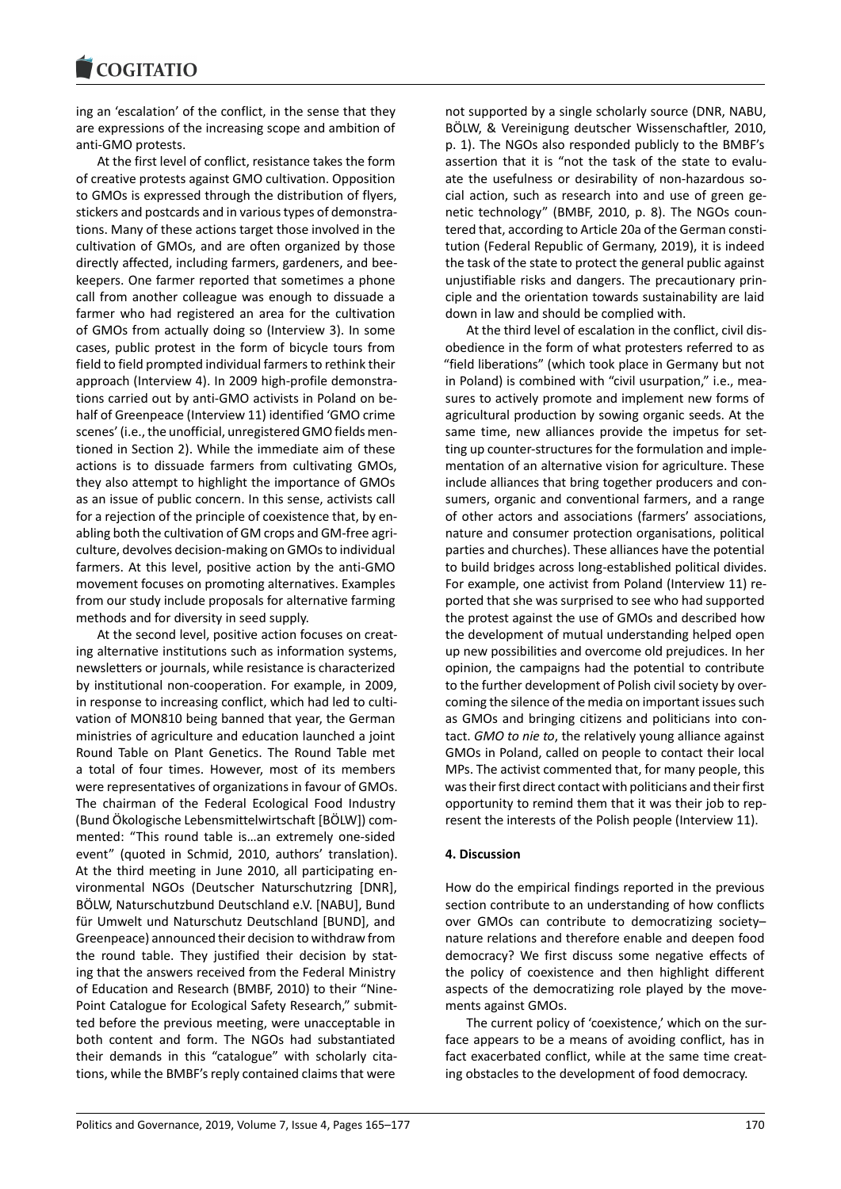ing an 'escalation' of the conflict, in the sense that they are expressions of the increasing scope and ambition of anti-GMO protests.

At the first level of conflict, resistance takes the form of creative protests against GMO cultivation. Opposition to GMOs is expressed through the distribution of flyers, stickers and postcards and in various types of demonstrations. Many of these actions target those involved in the cultivation of GMOs, and are often organized by those directly affected, including farmers, gardeners, and beekeepers. One farmer reported that sometimes a phone call from another colleague was enough to dissuade a farmer who had registered an area for the cultivation of GMOs from actually doing so (Interview 3). In some cases, public protest in the form of bicycle tours from field to field prompted individual farmers to rethink their approach (Interview 4). In 2009 high-profile demonstrations carried out by anti-GMO activists in Poland on behalf of Greenpeace (Interview 11) identified 'GMO crime scenes' (i.e., the unofficial, unregistered GMO fields mentioned in Section 2). While the immediate aim of these actions is to dissuade farmers from cultivating GMOs, they also attempt to highlight the importance of GMOs as an issue of public concern. In this sense, activists call for a rejection of the principle of coexistence that, by enabling both the cultivation of GM crops and GM-free agriculture, devolves decision-making on GMOs to individual farmers. At this level, positive action by the anti-GMO movement focuses on promoting alternatives. Examples from our study include proposals for alternative farming methods and for diversity in seed supply.

At the second level, positive action focuses on creating alternative institutions such as information systems, newsletters or journals, while resistance is characterized by institutional non-cooperation. For example, in 2009, in response to increasing conflict, which had led to cultivation of MON810 being banned that year, the German ministries of agriculture and education launched a joint Round Table on Plant Genetics. The Round Table met a total of four times. However, most of its members were representatives of organizations in favour of GMOs. The chairman of the Federal Ecological Food Industry (Bund Ökologische Lebensmittelwirtschaft [BÖLW]) commented: "This round table is…an extremely one-sided event" (quoted in Schmid, 2010, authors' translation). At the third meeting in June 2010, all participating environmental NGOs (Deutscher Naturschutzring [DNR], BÖLW, Naturschutzbund Deutschland e.V. [NABU], Bund für Umwelt und Naturschutz Deutschland [BUND], and Greenpeace) announced their decision to withdraw from the round table. They justified their decision by stating that the answers received from the Federal Ministry of Education and Research (BMBF, 2010) to their "Nine-Point Catalogue for Ecological Safety Research," submitted before the previous meeting, were unacceptable in both content and form. The NGOs had substantiated their demands in this "catalogue" with scholarly citations, while the BMBF's reply contained claims that were

not supported by a single scholarly source (DNR, NABU, BÖLW, & Vereinigung deutscher Wissenschaftler, 2010, p. 1). The NGOs also responded publicly to the BMBF's assertion that it is "not the task of the state to evaluate the usefulness or desirability of non-hazardous social action, such as research into and use of green genetic technology" (BMBF, 2010, p. 8). The NGOs countered that, according to Article 20a of the German constitution (Federal Republic of Germany, 2019), it is indeed the task of the state to protect the general public against unjustifiable risks and dangers. The precautionary principle and the orientation towards sustainability are laid down in law and should be complied with.

At the third level of escalation in the conflict, civil disobedience in the form of what protesters referred to as "field liberations" (which took place in Germany but not in Poland) is combined with "civil usurpation," i.e., measures to actively promote and implement new forms of agricultural production by sowing organic seeds. At the same time, new alliances provide the impetus for setting up counter-structures for the formulation and implementation of an alternative vision for agriculture. These include alliances that bring together producers and consumers, organic and conventional farmers, and a range of other actors and associations (farmers' associations, nature and consumer protection organisations, political parties and churches). These alliances have the potential to build bridges across long-established political divides. For example, one activist from Poland (Interview 11) reported that she was surprised to see who had supported the protest against the use of GMOs and described how the development of mutual understanding helped open up new possibilities and overcome old prejudices. In her opinion, the campaigns had the potential to contribute to the further development of Polish civil society by overcoming the silence of the media on important issues such as GMOs and bringing citizens and politicians into contact. *GMO to nie to*, the relatively young alliance against GMOs in Poland, called on people to contact their local MPs. The activist commented that, for many people, this was their first direct contact with politicians and their first opportunity to remind them that it was their job to represent the interests of the Polish people (Interview 11).

#### **4. Discussion**

How do the empirical findings reported in the previous section contribute to an understanding of how conflicts over GMOs can contribute to democratizing society– nature relations and therefore enable and deepen food democracy? We first discuss some negative effects of the policy of coexistence and then highlight different aspects of the democratizing role played by the movements against GMOs.

The current policy of 'coexistence,' which on the surface appears to be a means of avoiding conflict, has in fact exacerbated conflict, while at the same time creating obstacles to the development of food democracy.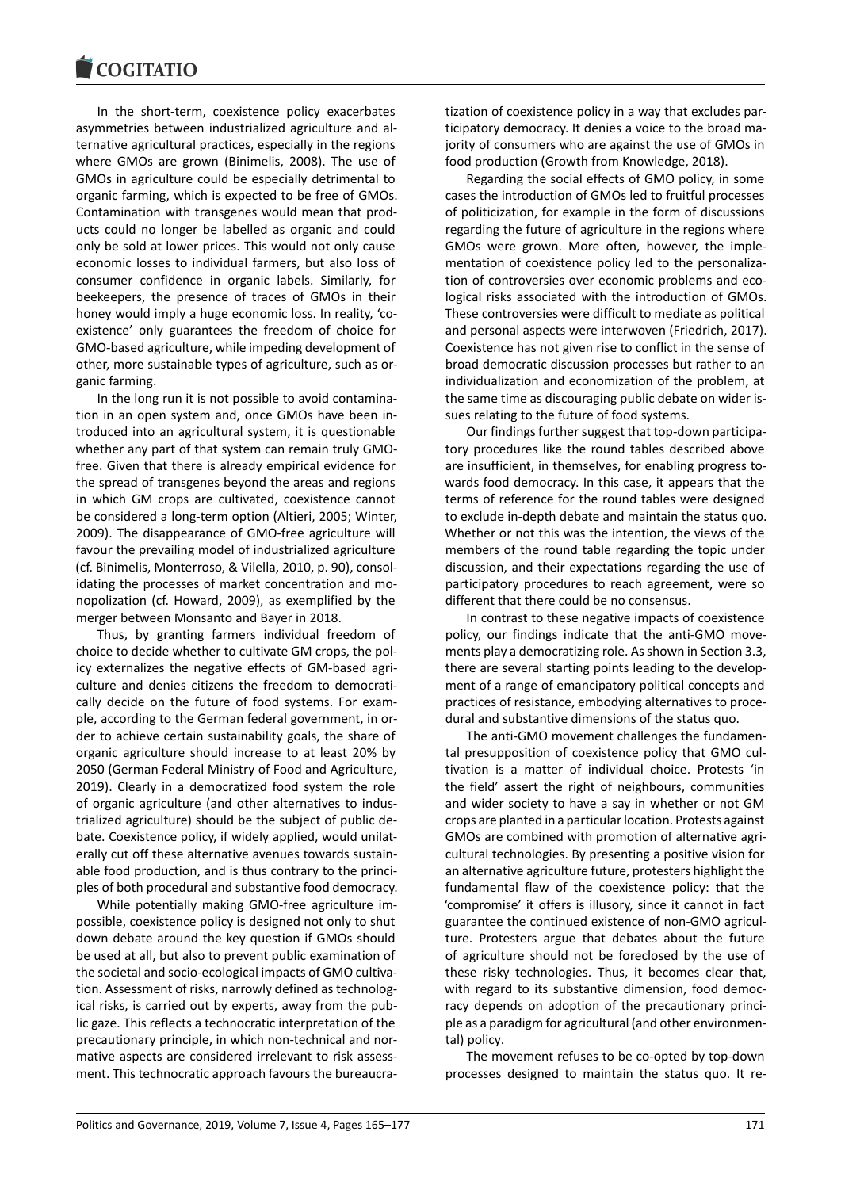In the short-term, coexistence policy exacerbates asymmetries between industrialized agriculture and alternative agricultural practices, especially in the regions where GMOs are grown (Binimelis, 2008). The use of GMOs in agriculture could be especially detrimental to organic farming, which is expected to be free of GMOs. Contamination with transgenes would mean that products could no longer be labelled as organic and could only be sold at lower prices. This would not only cause economic losses to individual farmers, but also loss of consumer confidence in organic labels. Similarly, for beekeepers, the presence of traces of GMOs in their honey would imply a huge economic loss. In reality, 'coexistence' only guarantees the freedom of choice for GMO-based agriculture, while impeding development of other, more sustainable types of agriculture, such as organic farming.

In the long run it is not possible to avoid contamination in an open system and, once GMOs have been introduced into an agricultural system, it is questionable whether any part of that system can remain truly GMOfree. Given that there is already empirical evidence for the spread of transgenes beyond the areas and regions in which GM crops are cultivated, coexistence cannot be considered a long-term option (Altieri, 2005; Winter, 2009). The disappearance of GMO-free agriculture will favour the prevailing model of industrialized agriculture (cf. Binimelis, Monterroso, & Vilella, 2010, p. 90), consolidating the processes of market concentration and monopolization (cf. Howard, 2009), as exemplified by the merger between Monsanto and Bayer in 2018.

Thus, by granting farmers individual freedom of choice to decide whether to cultivate GM crops, the policy externalizes the negative effects of GM-based agriculture and denies citizens the freedom to democratically decide on the future of food systems. For example, according to the German federal government, in order to achieve certain sustainability goals, the share of organic agriculture should increase to at least 20% by 2050 (German Federal Ministry of Food and Agriculture, 2019). Clearly in a democratized food system the role of organic agriculture (and other alternatives to industrialized agriculture) should be the subject of public debate. Coexistence policy, if widely applied, would unilaterally cut off these alternative avenues towards sustainable food production, and is thus contrary to the principles of both procedural and substantive food democracy.

While potentially making GMO-free agriculture impossible, coexistence policy is designed not only to shut down debate around the key question if GMOs should be used at all, but also to prevent public examination of the societal and socio-ecological impacts of GMO cultivation. Assessment of risks, narrowly defined as technological risks, is carried out by experts, away from the public gaze. This reflects a technocratic interpretation of the precautionary principle, in which non-technical and normative aspects are considered irrelevant to risk assessment. This technocratic approach favours the bureaucratization of coexistence policy in a way that excludes participatory democracy. It denies a voice to the broad majority of consumers who are against the use of GMOs in food production (Growth from Knowledge, 2018).

Regarding the social effects of GMO policy, in some cases the introduction of GMOs led to fruitful processes of politicization, for example in the form of discussions regarding the future of agriculture in the regions where GMOs were grown. More often, however, the implementation of coexistence policy led to the personalization of controversies over economic problems and ecological risks associated with the introduction of GMOs. These controversies were difficult to mediate as political and personal aspects were interwoven (Friedrich, 2017). Coexistence has not given rise to conflict in the sense of broad democratic discussion processes but rather to an individualization and economization of the problem, at the same time as discouraging public debate on wider issues relating to the future of food systems.

Our findings further suggest that top-down participatory procedures like the round tables described above are insufficient, in themselves, for enabling progress towards food democracy. In this case, it appears that the terms of reference for the round tables were designed to exclude in-depth debate and maintain the status quo. Whether or not this was the intention, the views of the members of the round table regarding the topic under discussion, and their expectations regarding the use of participatory procedures to reach agreement, were so different that there could be no consensus.

In contrast to these negative impacts of coexistence policy, our findings indicate that the anti-GMO movements play a democratizing role. As shown in Section 3.3, there are several starting points leading to the development of a range of emancipatory political concepts and practices of resistance, embodying alternatives to procedural and substantive dimensions of the status quo.

The anti-GMO movement challenges the fundamental presupposition of coexistence policy that GMO cultivation is a matter of individual choice. Protests 'in the field' assert the right of neighbours, communities and wider society to have a say in whether or not GM crops are planted in a particular location. Protests against GMOs are combined with promotion of alternative agricultural technologies. By presenting a positive vision for an alternative agriculture future, protesters highlight the fundamental flaw of the coexistence policy: that the 'compromise' it offers is illusory, since it cannot in fact guarantee the continued existence of non-GMO agriculture. Protesters argue that debates about the future of agriculture should not be foreclosed by the use of these risky technologies. Thus, it becomes clear that, with regard to its substantive dimension, food democracy depends on adoption of the precautionary principle as a paradigm for agricultural (and other environmental) policy.

The movement refuses to be co-opted by top-down processes designed to maintain the status quo. It re-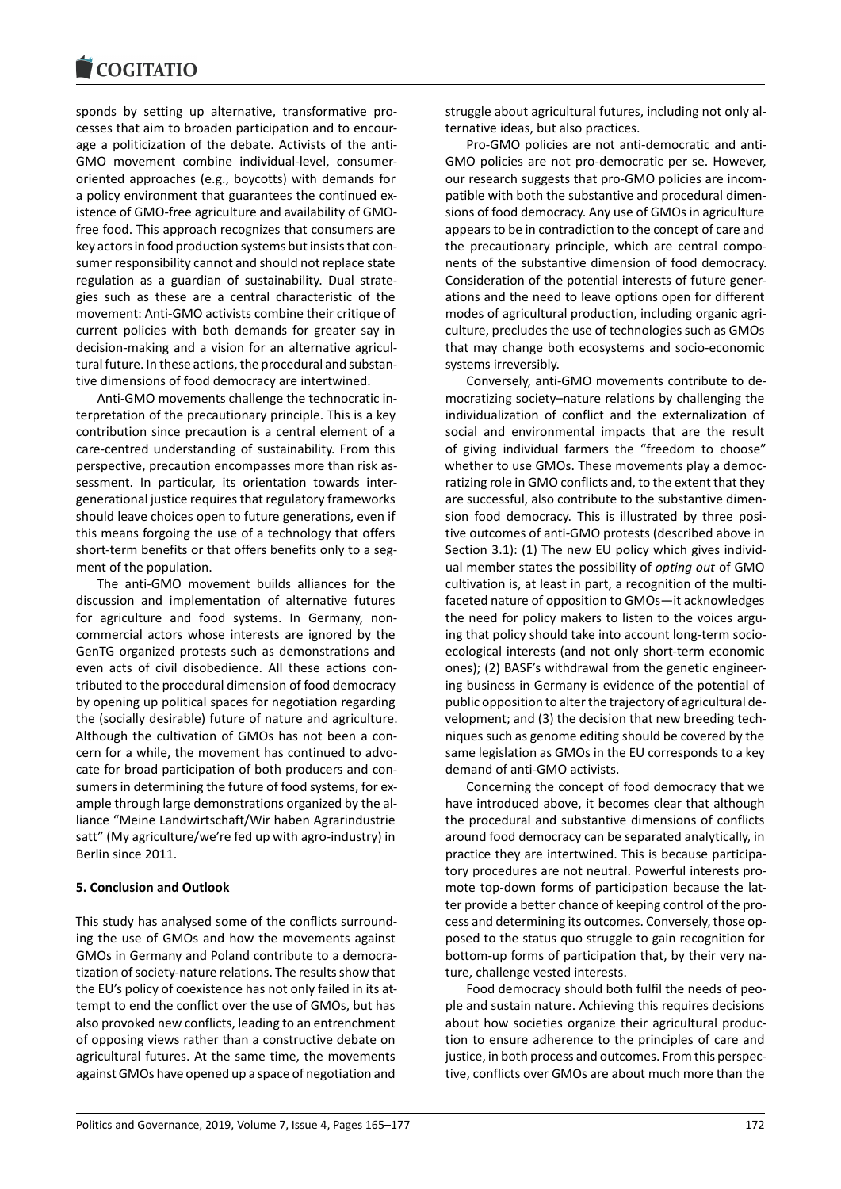sponds by setting up alternative, transformative processes that aim to broaden participation and to encourage a politicization of the debate. Activists of the anti-GMO movement combine individual-level, consumeroriented approaches (e.g., boycotts) with demands for a policy environment that guarantees the continued existence of GMO-free agriculture and availability of GMOfree food. This approach recognizes that consumers are key actors in food production systems but insists that consumer responsibility cannot and should not replace state regulation as a guardian of sustainability. Dual strategies such as these are a central characteristic of the movement: Anti-GMO activists combine their critique of current policies with both demands for greater say in decision-making and a vision for an alternative agricultural future. In these actions, the procedural and substantive dimensions of food democracy are intertwined.

Anti-GMO movements challenge the technocratic interpretation of the precautionary principle. This is a key contribution since precaution is a central element of a care-centred understanding of sustainability. From this perspective, precaution encompasses more than risk assessment. In particular, its orientation towards intergenerational justice requires that regulatory frameworks should leave choices open to future generations, even if this means forgoing the use of a technology that offers short-term benefits or that offers benefits only to a segment of the population.

The anti-GMO movement builds alliances for the discussion and implementation of alternative futures for agriculture and food systems. In Germany, noncommercial actors whose interests are ignored by the GenTG organized protests such as demonstrations and even acts of civil disobedience. All these actions contributed to the procedural dimension of food democracy by opening up political spaces for negotiation regarding the (socially desirable) future of nature and agriculture. Although the cultivation of GMOs has not been a concern for a while, the movement has continued to advocate for broad participation of both producers and consumers in determining the future of food systems, for example through large demonstrations organized by the alliance "Meine Landwirtschaft/Wir haben Agrarindustrie satt" (My agriculture/we're fed up with agro-industry) in Berlin since 2011.

#### **5. Conclusion and Outlook**

This study has analysed some of the conflicts surrounding the use of GMOs and how the movements against GMOs in Germany and Poland contribute to a democratization of society-nature relations. The results show that the EU's policy of coexistence has not only failed in its attempt to end the conflict over the use of GMOs, but has also provoked new conflicts, leading to an entrenchment of opposing views rather than a constructive debate on agricultural futures. At the same time, the movements against GMOs have opened up a space of negotiation and

struggle about agricultural futures, including not only alternative ideas, but also practices.

Pro-GMO policies are not anti-democratic and anti-GMO policies are not pro-democratic per se. However, our research suggests that pro-GMO policies are incompatible with both the substantive and procedural dimensions of food democracy. Any use of GMOs in agriculture appears to be in contradiction to the concept of care and the precautionary principle, which are central components of the substantive dimension of food democracy. Consideration of the potential interests of future generations and the need to leave options open for different modes of agricultural production, including organic agriculture, precludes the use of technologies such as GMOs that may change both ecosystems and socio-economic systems irreversibly.

Conversely, anti-GMO movements contribute to democratizing society–nature relations by challenging the individualization of conflict and the externalization of social and environmental impacts that are the result of giving individual farmers the "freedom to choose" whether to use GMOs. These movements play a democratizing role in GMO conflicts and, to the extent that they are successful, also contribute to the substantive dimension food democracy. This is illustrated by three positive outcomes of anti-GMO protests (described above in Section 3.1): (1) The new EU policy which gives individual member states the possibility of *opting out* of GMO cultivation is, at least in part, a recognition of the multifaceted nature of opposition to GMOs—it acknowledges the need for policy makers to listen to the voices arguing that policy should take into account long-term socioecological interests (and not only short-term economic ones); (2) BASF's withdrawal from the genetic engineering business in Germany is evidence of the potential of public opposition to alter the trajectory of agricultural development; and (3) the decision that new breeding techniques such as genome editing should be covered by the same legislation as GMOs in the EU corresponds to a key demand of anti-GMO activists.

Concerning the concept of food democracy that we have introduced above, it becomes clear that although the procedural and substantive dimensions of conflicts around food democracy can be separated analytically, in practice they are intertwined. This is because participatory procedures are not neutral. Powerful interests promote top-down forms of participation because the latter provide a better chance of keeping control of the process and determining its outcomes. Conversely, those opposed to the status quo struggle to gain recognition for bottom-up forms of participation that, by their very nature, challenge vested interests.

Food democracy should both fulfil the needs of people and sustain nature. Achieving this requires decisions about how societies organize their agricultural production to ensure adherence to the principles of care and justice, in both process and outcomes. From this perspective, conflicts over GMOs are about much more than the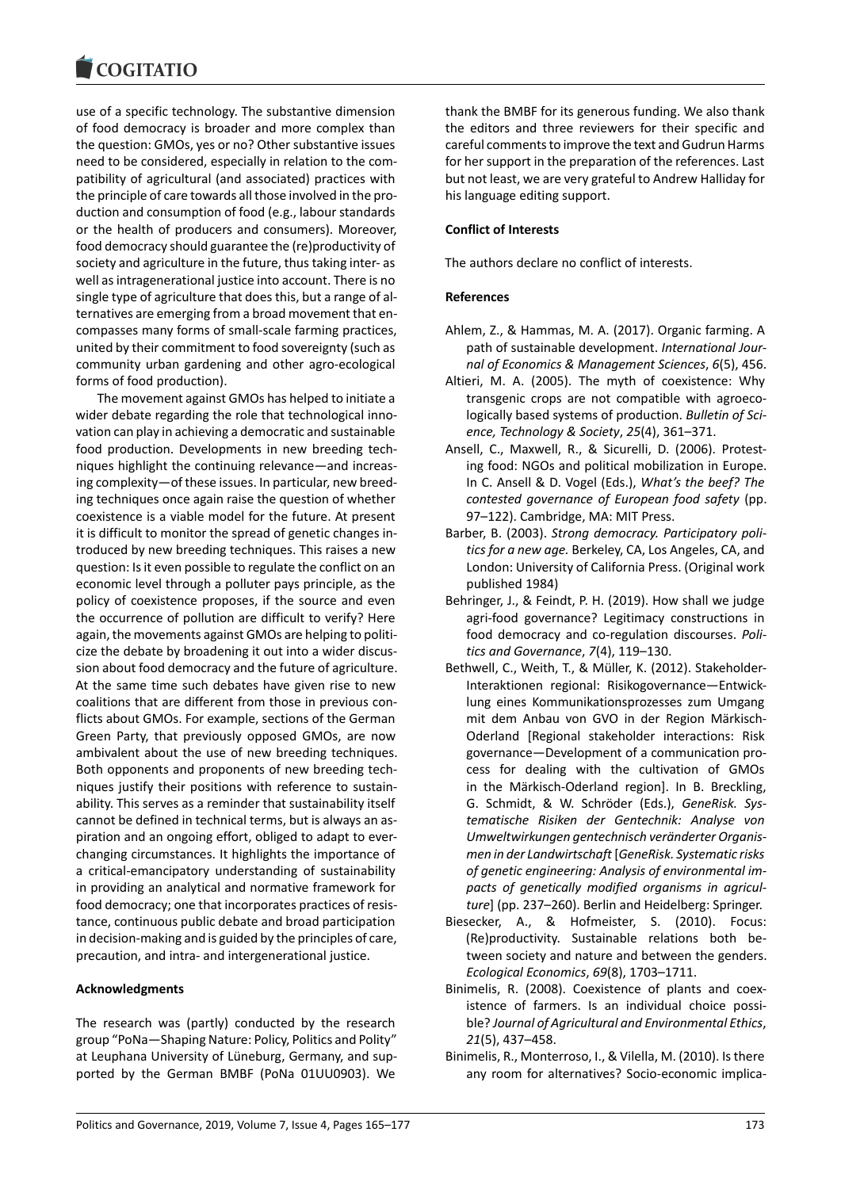#### COQUIATIO

use of a specific technology. The substantive dimension of food democracy is broader and more complex than the question: GMOs, yes or no? Other substantive issues need to be considered, especially in relation to the compatibility of agricultural (and associated) practices with the principle of care towards all those involved in the production and consumption of food (e.g., labour standards or the health of producers and consumers). Moreover, food democracy should guarantee the (re)productivity of society and agriculture in the future, thus taking inter- as well as intragenerational justice into account. There is no single type of agriculture that does this, but a range of alternatives are emerging from a broad movement that encompasses many forms of small-scale farming practices, united by their commitment to food sovereignty (such as community urban gardening and other agro-ecological forms of food production).

The movement against GMOs has helped to initiate a wider debate regarding the role that technological innovation can play in achieving a democratic and sustainable food production. Developments in new breeding techniques highlight the continuing relevance—and increasing complexity—of these issues. In particular, new breeding techniques once again raise the question of whether coexistence is a viable model for the future. At present it is difficult to monitor the spread of genetic changes introduced by new breeding techniques. This raises a new question: Is it even possible to regulate the conflict on an economic level through a polluter pays principle, as the policy of coexistence proposes, if the source and even the occurrence of pollution are difficult to verify? Here again, the movements against GMOs are helping to politicize the debate by broadening it out into a wider discussion about food democracy and the future of agriculture. At the same time such debates have given rise to new coalitions that are different from those in previous conflicts about GMOs. For example, sections of the German Green Party, that previously opposed GMOs, are now ambivalent about the use of new breeding techniques. Both opponents and proponents of new breeding techniques justify their positions with reference to sustainability. This serves as a reminder that sustainability itself cannot be defined in technical terms, but is always an aspiration and an ongoing effort, obliged to adapt to everchanging circumstances. It highlights the importance of a critical-emancipatory understanding of sustainability in providing an analytical and normative framework for food democracy; one that incorporates practices of resistance, continuous public debate and broad participation in decision-making and is guided by the principles of care, precaution, and intra- and intergenerational justice.

#### **Acknowledgments**

The research was (partly) conducted by the research group "PoNa—Shaping Nature: Policy, Politics and Polity" at Leuphana University of Lüneburg, Germany, and supported by the German BMBF (PoNa 01UU0903). We

thank the BMBF for its generous funding. We also thank the editors and three reviewers for their specific and careful comments to improve the text and Gudrun Harms for her support in the preparation of the references. Last but not least, we are very grateful to Andrew Halliday for his language editing support.

#### **Conflict of Interests**

The authors declare no conflict of interests.

#### **References**

- Ahlem, Z., & Hammas, M. A. (2017). Organic farming. A path of sustainable development. *International Journal of Economics & Management Sciences*, *6*(5), 456.
- Altieri, M. A. (2005). The myth of coexistence: Why transgenic crops are not compatible with agroecologically based systems of production. *Bulletin of Science, Technology & Society*, *25*(4), 361–371.
- Ansell, C., Maxwell, R., & Sicurelli, D. (2006). Protesting food: NGOs and political mobilization in Europe. In C. Ansell & D. Vogel (Eds.), *What's the beef? The contested governance of European food safety* (pp. 97–122). Cambridge, MA: MIT Press.
- Barber, B. (2003). *Strong democracy. Participatory politics for a new age.* Berkeley, CA, Los Angeles, CA, and London: University of California Press. (Original work published 1984)
- Behringer, J., & Feindt, P. H. (2019). How shall we judge agri-food governance? Legitimacy constructions in food democracy and co-regulation discourses. *Politics and Governance*, *7*(4), 119–130.
- Bethwell, C., Weith, T., & Müller, K. (2012). Stakeholder-Interaktionen regional: Risikogovernance—Entwicklung eines Kommunikationsprozesses zum Umgang mit dem Anbau von GVO in der Region Märkisch-Oderland [Regional stakeholder interactions: Risk governance—Development of a communication process for dealing with the cultivation of GMOs in the Märkisch-Oderland region]. In B. Breckling, G. Schmidt, & W. Schröder (Eds.), *GeneRisk. Systematische Risiken der Gentechnik: Analyse von Umweltwirkungen gentechnisch veränderter Organismen in der Landwirtschaft* [*GeneRisk. Systematic risks of genetic engineering: Analysis of environmental impacts of genetically modified organisms in agriculture*] (pp. 237–260). Berlin and Heidelberg: Springer.
- Biesecker, A., & Hofmeister, S. (2010). Focus: (Re)productivity. Sustainable relations both between society and nature and between the genders. *Ecological Economics*, *69*(8), 1703–1711.
- Binimelis, R. (2008). Coexistence of plants and coexistence of farmers. Is an individual choice possible? *Journal of Agricultural and Environmental Ethics*, *21*(5), 437–458.
- Binimelis, R., Monterroso, I., & Vilella, M. (2010). Is there any room for alternatives? Socio-economic implica-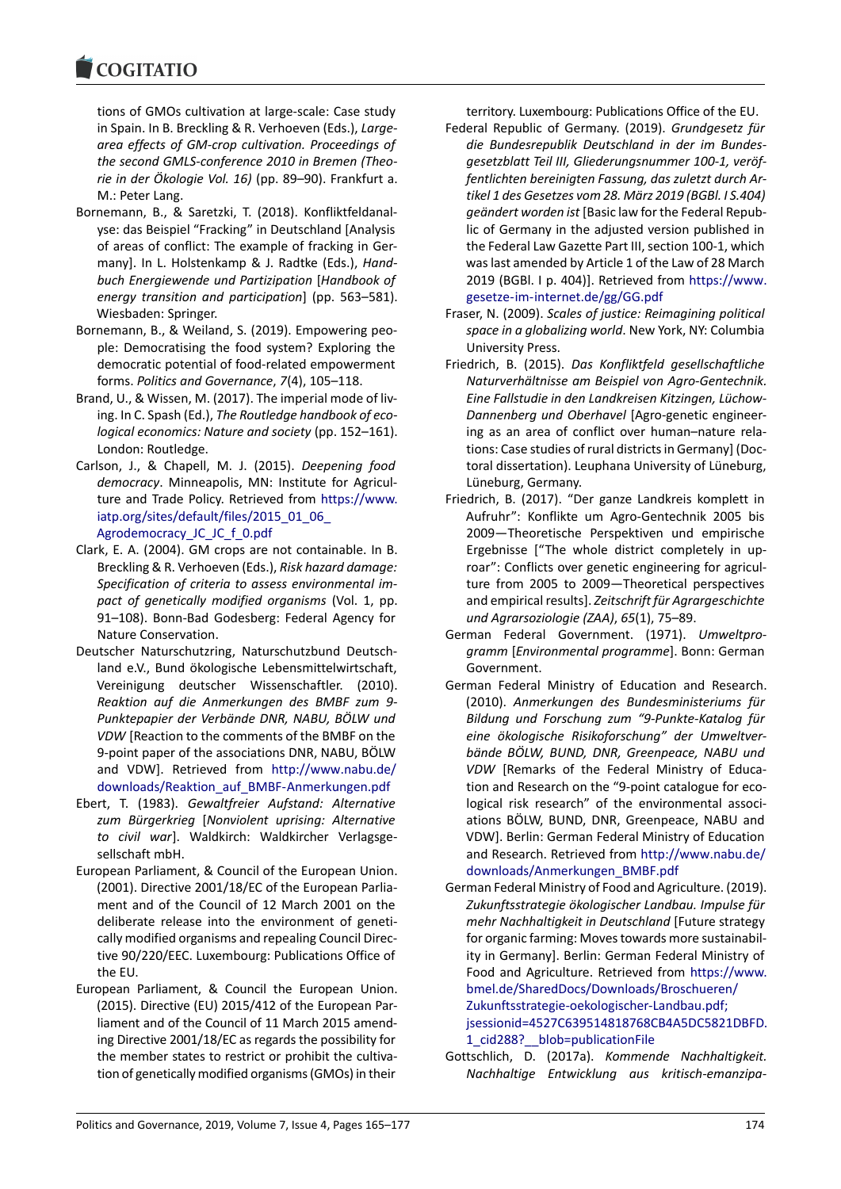tions of GMOs cultivation at large-scale: Case study in Spain. In B. Breckling & R. Verhoeven (Eds.), *Largearea effects of GM-crop cultivation. Proceedings of the second GMLS-conference 2010 in Bremen (Theorie in der Ökologie Vol. 16)* (pp. 89–90). Frankfurt a. M.: Peter Lang.

- Bornemann, B., & Saretzki, T. (2018). Konfliktfeldanalyse: das Beispiel "Fracking" in Deutschland [Analysis of areas of conflict: The example of fracking in Germany]. In L. Holstenkamp & J. Radtke (Eds.), *Handbuch Energiewende und Partizipation* [*Handbook of energy transition and participation*] (pp. 563–581). Wiesbaden: Springer.
- Bornemann, B., & Weiland, S. (2019). Empowering people: Democratising the food system? Exploring the democratic potential of food-related empowerment forms. *Politics and Governance*, *7*(4), 105–118.
- Brand, U., & Wissen, M. (2017). The imperial mode of living. In C. Spash (Ed.), *The Routledge handbook of ecological economics: Nature and society* (pp. 152–161). London: Routledge.
- Carlson, J., & Chapell, M. J. (2015). *Deepening food democracy*. Minneapolis, MN: Institute for Agriculture and Trade Policy. Retrieved from https://www. iatp.org/sites/default/files/2015\_01\_06 Agrodemocracy\_JC\_JC\_f\_0.pdf
- Clark, E. A. (2004). GM crops are not containable. In B. Breckling & R. Verhoeven (Eds.), *Risk ha[zard damage:](https://www.iatp.org/sites/default/files/2015_01_06_Agrodemocracy_JC_JC_f_0.pdf) [Specification of criteria to assess environ](https://www.iatp.org/sites/default/files/2015_01_06_Agrodemocracy_JC_JC_f_0.pdf)mental im[pact of genetically modified o](https://www.iatp.org/sites/default/files/2015_01_06_Agrodemocracy_JC_JC_f_0.pdf)rganisms* (Vol. 1, pp. 91–108). Bonn-Bad Godesberg: Federal Agency for Nature Conservation.
- Deutscher Naturschutzring, Naturschutzbund Deutschland e.V., Bund ökologische Lebensmittelwirtschaft, Vereinigung deutscher Wissenschaftler. (2010). *Reaktion auf die Anmerkungen des BMBF zum 9- Punktepapier der Verbände DNR, NABU, BÖLW und VDW* [Reaction to the comments of the BMBF on the 9-point paper of the associations DNR, NABU, BÖLW and VDW]. Retrieved from http://www.nabu.de/ downloads/Reaktion\_auf\_BMBF-Anmerkungen.pdf
- Ebert, T. (1983). *Gewaltfreier Aufstand: Alternative zum Bürgerkrieg* [*Nonviolent uprising: Alternative to civil war*]. Waldkirch: [Waldkircher Verlagsge](http://www.nabu.de/downloads/Reaktion_auf_BMBF-Anmerkungen.pdf)[sellschaft mbH.](http://www.nabu.de/downloads/Reaktion_auf_BMBF-Anmerkungen.pdf)
- European Parliament, & Council of the European Union. (2001). Directive 2001/18/EC of the European Parliament and of the Council of 12 March 2001 on the deliberate release into the environment of genetically modified organisms and repealing Council Directive 90/220/EEC. Luxembourg: Publications Office of the EU.
- European Parliament, & Council the European Union. (2015). Directive (EU) 2015/412 of the European Parliament and of the Council of 11 March 2015 amending Directive 2001/18/EC as regards the possibility for the member states to restrict or prohibit the cultivation of genetically modified organisms (GMOs) in their

territory. Luxembourg: Publications Office of the EU.

- Federal Republic of Germany. (2019). *Grundgesetz für die Bundesrepublik Deutschland in der im Bundesgesetzblatt Teil III, Gliederungsnummer 100-1, veröffentlichten bereinigten Fassung, das zuletzt durch Artikel 1 des Gesetzes vom 28. März 2019 (BGBl. I S.404) geändert worden ist* [Basic law for the Federal Republic of Germany in the adjusted version published in the Federal Law Gazette Part III, section 100-1, which was last amended by Article 1 of the Law of 28 March 2019 (BGBl. I p. 404)]. Retrieved from https://www. gesetze-im-internet.de/gg/GG.pdf
- Fraser, N. (2009). *Scales of justice: Reimagining political space in a globalizing world*. New York, NY: Columbia University Press.
- Fri[edrich, B. \(2015\).](https://www.gesetze-im-internet.de/gg/GG.pdf) *Das Konfliktfeld ge[sellschaftliche](https://www.gesetze-im-internet.de/gg/GG.pdf) Naturverhältnisse am Beispiel von Agro-Gentechnik. Eine Fallstudie in den Landkreisen Kitzingen, Lüchow-Dannenberg und Oberhavel* [Agro-genetic engineering as an area of conflict over human–nature relations: Case studies of rural districts in Germany] (Doctoral dissertation). Leuphana University of Lüneburg, Lüneburg, Germany.
- Friedrich, B. (2017). "Der ganze Landkreis komplett in Aufruhr": Konflikte um Agro-Gentechnik 2005 bis 2009—Theoretische Perspektiven und empirische Ergebnisse ["The whole district completely in uproar": Conflicts over genetic engineering for agriculture from 2005 to 2009—Theoretical perspectives and empirical results]. *Zeitschrift für Agrargeschichte und Agrarsoziologie (ZAA)*, *65*(1), 75–89.
- German Federal Government. (1971). *Umweltprogramm* [*Environmental programme*]. Bonn: German Government.
- German Federal Ministry of Education and Research. (2010). *Anmerkungen des Bundesministeriums für Bildung und Forschung zum "9-Punkte-Katalog für eine ökologische Risikoforschung" der Umweltverbände BÖLW, BUND, DNR, Greenpeace, NABU und VDW* [Remarks of the Federal Ministry of Education and Research on the "9-point catalogue for ecological risk research" of the environmental associations BÖLW, BUND, DNR, Greenpeace, NABU and VDW]. Berlin: German Federal Ministry of Education and Research. Retrieved from http://www.nabu.de/ downloads/Anmerkungen\_BMBF.pdf
- German Federal Ministry of Food and Agriculture. (2019). *Zukunftsstrategie ökologischer Landbau. Impulse für mehr Nachhaltigkeit in Deutschland* [\[Future strategy](http://www.nabu.de/downloads/Anmerkungen_BMBF.pdf) [for organic farming: Moves towards m](http://www.nabu.de/downloads/Anmerkungen_BMBF.pdf)ore sustainability in Germany]. Berlin: German Federal Ministry of Food and Agriculture. Retrieved from https://www. bmel.de/SharedDocs/Downloads/Broschueren/ Zukunftsstrategie-oekologischer-Landbau.pdf; jsessionid=4527C639514818768CB4A5DC5821DBFD. 1 cid288? blob=publicationFile
- Gottschlich, D. (2017a). *[Kommende Nachhaltig](https://www.bmel.de/SharedDocs/Downloads/Broschueren/Zukunftsstrategie-oekologischer-Landbau.pdf;jsessionid=4527C639514818768CB4A5DC5821DBFD.1_cid288?__blob=publicationFile)keit. [Nachhaltige Entwicklung aus kritisch-ema](https://www.bmel.de/SharedDocs/Downloads/Broschueren/Zukunftsstrategie-oekologischer-Landbau.pdf;jsessionid=4527C639514818768CB4A5DC5821DBFD.1_cid288?__blob=publicationFile)nzipa-*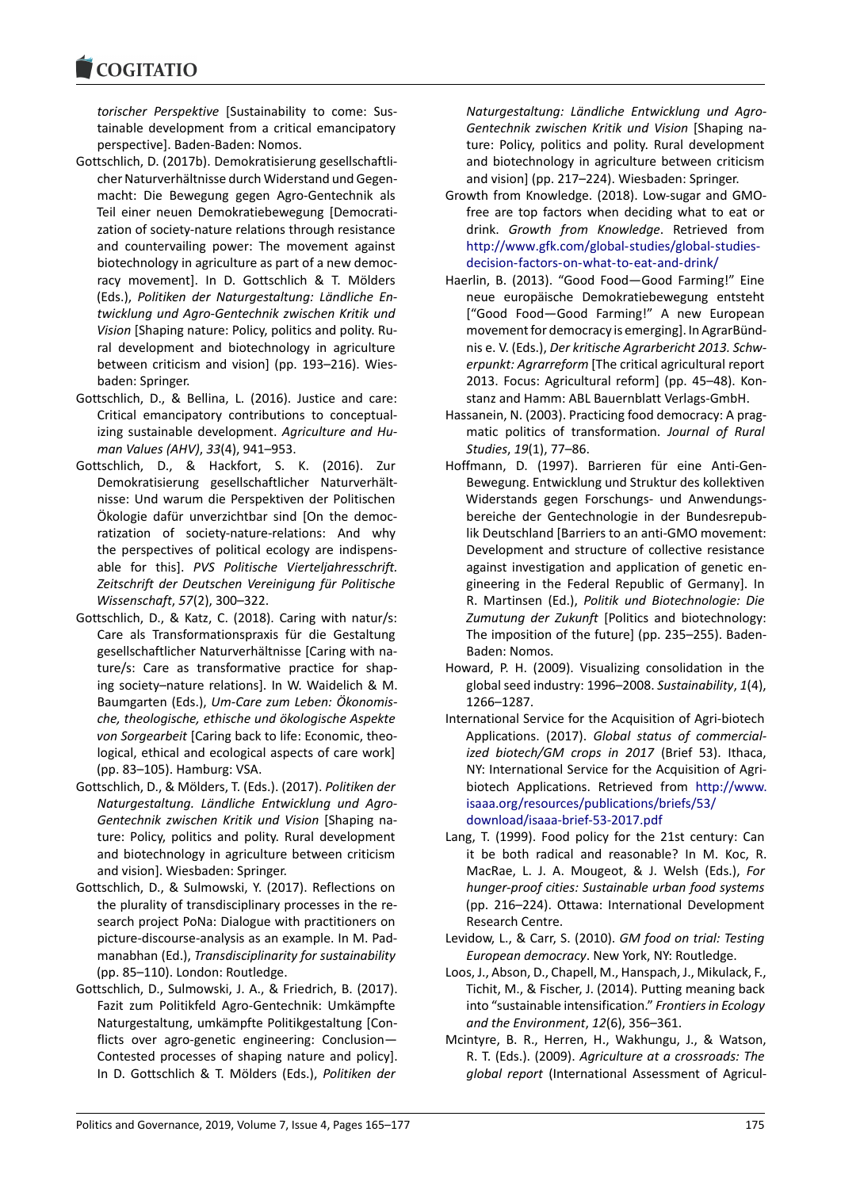*torischer Perspektive* [Sustainability to come: Sustainable development from a critical emancipatory perspective]. Baden-Baden: Nomos.

- Gottschlich, D. (2017b). Demokratisierung gesellschaftlicher Naturverhältnisse durch Widerstand und Gegenmacht: Die Bewegung gegen Agro-Gentechnik als Teil einer neuen Demokratiebewegung [Democratization of society-nature relations through resistance and countervailing power: The movement against biotechnology in agriculture as part of a new democracy movement]. In D. Gottschlich & T. Mölders (Eds.), *Politiken der Naturgestaltung: Ländliche Entwicklung und Agro-Gentechnik zwischen Kritik und Vision* [Shaping nature: Policy, politics and polity. Rural development and biotechnology in agriculture between criticism and vision] (pp. 193–216). Wiesbaden: Springer.
- Gottschlich, D., & Bellina, L. (2016). Justice and care: Critical emancipatory contributions to conceptualizing sustainable development. *Agriculture and Human Values (AHV)*, *33*(4), 941–953.
- Gottschlich, D., & Hackfort, S. K. (2016). Zur Demokratisierung gesellschaftlicher Naturverhältnisse: Und warum die Perspektiven der Politischen Ökologie dafür unverzichtbar sind [On the democratization of society-nature-relations: And why the perspectives of political ecology are indispensable for this]. *PVS Politische Vierteljahresschrift. Zeitschrift der Deutschen Vereinigung für Politische Wissenschaft*, *57*(2), 300–322.
- Gottschlich, D., & Katz, C. (2018). Caring with natur/s: Care als Transformationspraxis für die Gestaltung gesellschaftlicher Naturverhältnisse [Caring with nature/s: Care as transformative practice for shaping society–nature relations]. In W. Waidelich & M. Baumgarten (Eds.), *Um-Care zum Leben: Ökonomische, theologische, ethische und ökologische Aspekte von Sorgearbeit* [Caring back to life: Economic, theological, ethical and ecological aspects of care work] (pp. 83–105). Hamburg: VSA.
- Gottschlich, D., & Mölders, T. (Eds.). (2017). *Politiken der Naturgestaltung. Ländliche Entwicklung und Agro-Gentechnik zwischen Kritik und Vision* [Shaping nature: Policy, politics and polity. Rural development and biotechnology in agriculture between criticism and vision]. Wiesbaden: Springer.
- Gottschlich, D., & Sulmowski, Y. (2017). Reflections on the plurality of transdisciplinary processes in the research project PoNa: Dialogue with practitioners on picture-discourse-analysis as an example. In M. Padmanabhan (Ed.), *Transdisciplinarity for sustainability* (pp. 85–110). London: Routledge.
- Gottschlich, D., Sulmowski, J. A., & Friedrich, B. (2017). Fazit zum Politikfeld Agro-Gentechnik: Umkämpfte Naturgestaltung, umkämpfte Politikgestaltung [Conflicts over agro-genetic engineering: Conclusion— Contested processes of shaping nature and policy]. In D. Gottschlich & T. Mölders (Eds.), *Politiken der*

*Naturgestaltung: Ländliche Entwicklung und Agro-Gentechnik zwischen Kritik und Vision* [Shaping nature: Policy, politics and polity. Rural development and biotechnology in agriculture between criticism and vision] (pp. 217–224). Wiesbaden: Springer.

- Growth from Knowledge. (2018). Low-sugar and GMOfree are top factors when deciding what to eat or drink. *Growth from Knowledge*. Retrieved from http://www.gfk.com/global-studies/global-studiesdecision-factors-on-what-to-eat-and-drink/
- Haerlin, B. (2013). "Good Food—Good Farming!" Eine neue europäische Demokratiebewegung entsteht [\["Good Food—Good Farming!" A new European](http://www.gfk.com/global-studies/global-studies-decision-factors-on-what-to-eat-and-drink/) [movement for democracy is emerging\]. In Agr](http://www.gfk.com/global-studies/global-studies-decision-factors-on-what-to-eat-and-drink/)arBündnis e. V. (Eds.), *Der kritische Agrarbericht 2013. Schwerpunkt: Agrarreform* [The critical agricultural report 2013. Focus: Agricultural reform] (pp. 45–48). Konstanz and Hamm: ABL Bauernblatt Verlags-GmbH.
- Hassanein, N. (2003). Practicing food democracy: A pragmatic politics of transformation. *Journal of Rural Studies*, *19*(1), 77–86.
- Hoffmann, D. (1997). Barrieren für eine Anti-Gen-Bewegung. Entwicklung und Struktur des kollektiven Widerstands gegen Forschungs- und Anwendungsbereiche der Gentechnologie in der Bundesrepublik Deutschland [Barriers to an anti-GMO movement: Development and structure of collective resistance against investigation and application of genetic engineering in the Federal Republic of Germany]. In R. Martinsen (Ed.), *Politik und Biotechnologie: Die Zumutung der Zukunft* [Politics and biotechnology: The imposition of the future] (pp. 235–255). Baden-Baden: Nomos.
- Howard, P. H. (2009). Visualizing consolidation in the global seed industry: 1996–2008. *Sustainability*, *1*(4), 1266–1287.
- International Service for the Acquisition of Agri-biotech Applications. (2017). *Global status of commercialized biotech/GM crops in 2017* (Brief 53). Ithaca, NY: International Service for the Acquisition of Agribiotech Applications. Retrieved from http://www. isaaa.org/resources/publications/briefs/53/ download/isaaa-brief-53-2017.pdf
- Lang, T. (1999). Food policy for the 21st century: Can it be both radical and reasonable? In [M. Koc, R.](http://www.isaaa.org/resources/publications/briefs/53/download/isaaa-brief-53-2017.pdf) [MacRae, L. J. A. Mougeot, & J. Welsh \(Ed](http://www.isaaa.org/resources/publications/briefs/53/download/isaaa-brief-53-2017.pdf)s.), *For [hunger-proof cities: Sustainable ur](http://www.isaaa.org/resources/publications/briefs/53/download/isaaa-brief-53-2017.pdf)ban food systems* (pp. 216–224). Ottawa: International Development Research Centre.
- Levidow, L., & Carr, S. (2010). *GM food on trial: Testing European democracy*. New York, NY: Routledge.
- Loos, J., Abson, D., Chapell, M., Hanspach, J., Mikulack, F., Tichit, M., & Fischer, J. (2014). Putting meaning back into "sustainable intensification." *Frontiers in Ecology and the Environment*, *12*(6), 356–361.
- Mcintyre, B. R., Herren, H., Wakhungu, J., & Watson, R. T. (Eds.). (2009). *Agriculture at a crossroads: The global report* (International Assessment of Agricul-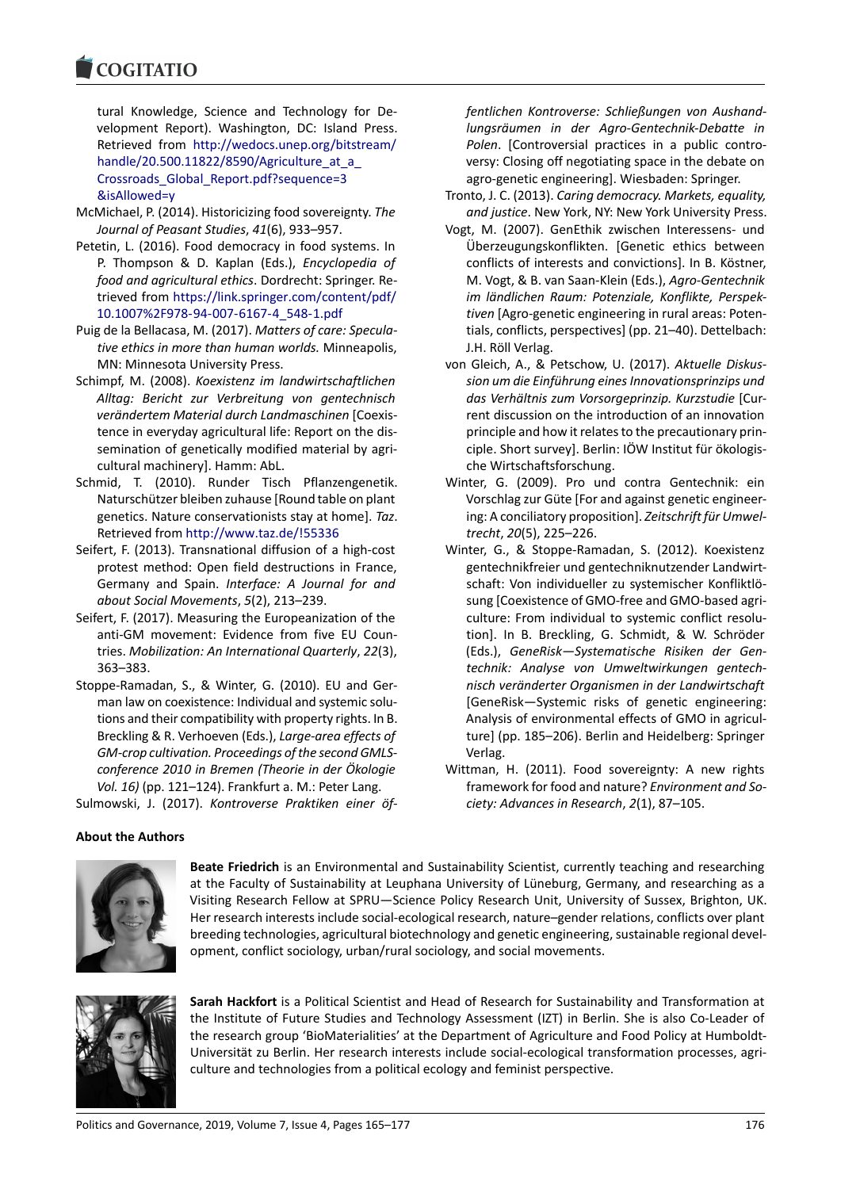tural Knowledge, Science and Technology for Development Report). Washington, DC: Island Press. Retrieved from http://wedocs.unep.org/bitstream/ handle/20.500.11822/8590/Agriculture\_at\_a\_ Crossroads\_Global\_Report.pdf?sequence=3 &isAllowed=y

- McMichael, P. (2014[\). Historicizing food sovereignty.](http://wedocs.unep.org/bitstream/handle/20.500.11822/8590/Agriculture_at_a_Crossroads_Global_Report.pdf?sequence=3&isAllowed=y) *The [Journal of Peasant Studies](http://wedocs.unep.org/bitstream/handle/20.500.11822/8590/Agriculture_at_a_Crossroads_Global_Report.pdf?sequence=3&isAllowed=y)*, *41*(6), 933–957.
- Pet[etin, L. \(2016\). Food democracy in food sys](http://wedocs.unep.org/bitstream/handle/20.500.11822/8590/Agriculture_at_a_Crossroads_Global_Report.pdf?sequence=3&isAllowed=y)tems. In [P. Thompson](http://wedocs.unep.org/bitstream/handle/20.500.11822/8590/Agriculture_at_a_Crossroads_Global_Report.pdf?sequence=3&isAllowed=y) & D. Kaplan (Eds.), *Encyclopedia of food and agricultural ethics*. Dordrecht: Springer. Retrieved from https://link.springer.com/content/pdf/ 10.1007%2F978-94-007-6167-4\_548-1.pdf
- Puig de la Bellacasa, M. (2017). *Matters of care: Speculative ethics in more than human worlds.* Minneapolis, MN: Minnes[ota University Press.](https://link.springer.com/content/pdf/10.1007%2F978-94-007-6167-4_548-1.pdf)
- Schimpf, M. (2008). *[Koexistenz im landwirtsch](https://link.springer.com/content/pdf/10.1007%2F978-94-007-6167-4_548-1.pdf)aftlichen Alltag: Bericht zur Verbreitung von gentechnisch verändertem Material durch Landmaschinen* [Coexistence in everyday agricultural life: Report on the dissemination of genetically modified material by agricultural machinery]. Hamm: AbL.
- Schmid, T. (2010). Runder Tisch Pflanzengenetik. Naturschützer bleiben zuhause [Round table on plant genetics. Nature conservationists stay at home]. *Taz*. Retrieved from http://www.taz.de/!55336
- Seifert, F. (2013). Transnational diffusion of a high-cost protest method: Open field destructions in France, Germany and Spain. *Interface: A Journal for and about Social Movements*, *5*[\(2\), 213–239.](http://www.taz.de/!55336)
- Seifert, F. (2017). Measuring the Europeanization of the anti-GM movement: Evidence from five EU Countries. *Mobilization: An International Quarterly*, *22*(3), 363–383.
- Stoppe-Ramadan, S., & Winter, G. (2010). EU and German law on coexistence: Individual and systemic solutions and their compatibility with property rights. In B. Breckling & R. Verhoeven (Eds.), *Large-area effects of GM-crop cultivation. Proceedings of the second GMLSconference 2010 in Bremen (Theorie in der Ökologie Vol. 16)* (pp. 121–124). Frankfurt a. M.: Peter Lang.

Sulmowski, J. (2017). *Kontroverse Praktiken einer öf-*

*fentlichen Kontroverse: Schließungen von Aushandlungsräumen in der Agro-Gentechnik-Debatte in Polen*. [Controversial practices in a public controversy: Closing off negotiating space in the debate on agro-genetic engineering]. Wiesbaden: Springer.

- Tronto, J. C. (2013). *Caring democracy. Markets, equality, and justice*. New York, NY: New York University Press.
- Vogt, M. (2007). GenEthik zwischen Interessens- und Überzeugungskonflikten. [Genetic ethics between conflicts of interests and convictions]. In B. Köstner, M. Vogt, & B. van Saan-Klein (Eds.), *Agro-Gentechnik im ländlichen Raum: Potenziale, Konflikte, Perspektiven* [Agro-genetic engineering in rural areas: Potentials, conflicts, perspectives] (pp. 21–40). Dettelbach: J.H. Röll Verlag.
- von Gleich, A., & Petschow, U. (2017). *Aktuelle Diskussion um die Einführung eines Innovationsprinzips und das Verhältnis zum Vorsorgeprinzip. Kurzstudie* [Current discussion on the introduction of an innovation principle and how it relates to the precautionary principle. Short survey]. Berlin: IÖW Institut für ökologische Wirtschaftsforschung.
- Winter, G. (2009). Pro und contra Gentechnik: ein Vorschlag zur Güte [For and against genetic engineering: A conciliatory proposition]. *Zeitschrift für Umweltrecht*, *20*(5), 225–226.
- Winter, G., & Stoppe-Ramadan, S. (2012). Koexistenz gentechnikfreier und gentechniknutzender Landwirtschaft: Von individueller zu systemischer Konfliktlösung [Coexistence of GMO-free and GMO-based agriculture: From individual to systemic conflict resolution]. In B. Breckling, G. Schmidt, & W. Schröder (Eds.), *GeneRisk—Systematische Risiken der Gentechnik: Analyse von Umweltwirkungen gentechnisch veränderter Organismen in der Landwirtschaft* [GeneRisk—Systemic risks of genetic engineering: Analysis of environmental effects of GMO in agriculture] (pp. 185–206). Berlin and Heidelberg: Springer Verlag.
- Wittman, H. (2011). Food sovereignty: A new rights framework for food and nature? *Environment and Society: Advances in Research*, *2*(1), 87–105.

# **About the Authors**



**Beate Friedrich** is an Environmental and Sustainability Scientist, currently teaching and researching at the Faculty of Sustainability at Leuphana University of Lüneburg, Germany, and researching as a Visiting Research Fellow at SPRU—Science Policy Research Unit, University of Sussex, Brighton, UK. Her research interests include social-ecological research, nature–gender relations, conflicts over plant breeding technologies, agricultural biotechnology and genetic engineering, sustainable regional development, conflict sociology, urban/rural sociology, and social movements.



**Sarah Hackfort** is a Political Scientist and Head of Research for Sustainability and Transformation at the Institute of Future Studies and Technology Assessment (IZT) in Berlin. She is also Co-Leader of the research group 'BioMaterialities' at the Department of Agriculture and Food Policy at Humboldt-Universität zu Berlin. Her research interests include social-ecological transformation processes, agriculture and technologies from a political ecology and feminist perspective.